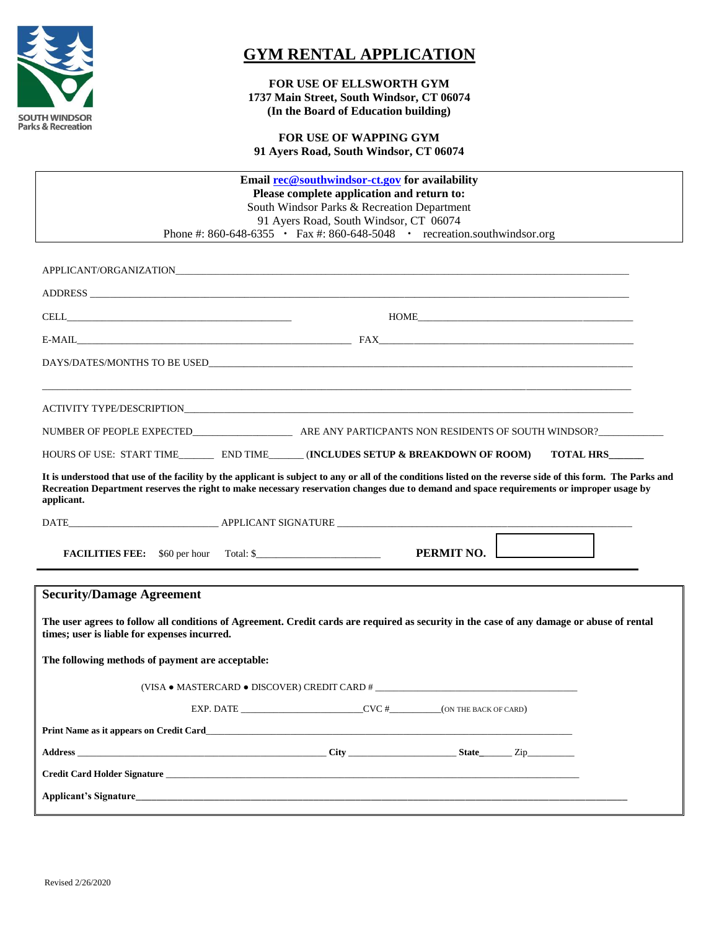

## **GYM RENTAL APPLICATION**

**FOR USE OF ELLSWORTH GYM 1737 Main Street, South Windsor, CT 06074 (In the Board of Education building)**

**FOR USE OF WAPPING GYM 91 Ayers Road, South Windsor, CT 06074**

| Email rec@southwindsor-ct.gov for availability<br>Please complete application and return to:                                                                                                                                                                                                                                                                                                                                                                                 |
|------------------------------------------------------------------------------------------------------------------------------------------------------------------------------------------------------------------------------------------------------------------------------------------------------------------------------------------------------------------------------------------------------------------------------------------------------------------------------|
| South Windsor Parks & Recreation Department                                                                                                                                                                                                                                                                                                                                                                                                                                  |
| 91 Ayers Road, South Windsor, CT 06074                                                                                                                                                                                                                                                                                                                                                                                                                                       |
| Phone #: 860-648-6355 • Fax #: 860-648-5048 • recreation.southwindsor.org                                                                                                                                                                                                                                                                                                                                                                                                    |
|                                                                                                                                                                                                                                                                                                                                                                                                                                                                              |
|                                                                                                                                                                                                                                                                                                                                                                                                                                                                              |
| ADDRESS AND ANNUAL CONTRACT OF THE CONTRACT OF THE CONTRACT OF THE CONTRACT OF THE CONTRACT OF THE CONTRACT OF                                                                                                                                                                                                                                                                                                                                                               |
| $\text{HOME}\text{\_}$<br>$\label{eq:cell} \text{CELL}\xspace_1\qquad \qquad \text{[1]}\xspace_2\qquad \qquad \text{[2]}\xspace_3\qquad \qquad \text{[3]}\xspace_4\qquad \qquad \text{[4]}\xspace_5\qquad \qquad \text{[5]}\xspace_6\qquad \qquad \text{[6]}\xspace_7\qquad \qquad \text{[6]}\xspace_8\qquad \qquad \text{[6]}\xspace_9\qquad \qquad \text{[6]}\xspace_9\qquad \qquad \text{[6]}\xspace_9\qquad \qquad \text{[6]}\xspace_9\qquad \qquad \text{[6]}\xspace_9$ |
|                                                                                                                                                                                                                                                                                                                                                                                                                                                                              |
|                                                                                                                                                                                                                                                                                                                                                                                                                                                                              |
|                                                                                                                                                                                                                                                                                                                                                                                                                                                                              |
|                                                                                                                                                                                                                                                                                                                                                                                                                                                                              |
|                                                                                                                                                                                                                                                                                                                                                                                                                                                                              |
| HOURS OF USE: START TIME___________ END TIME________ (INCLUDES SETUP & BREAKDOWN OF ROOM)<br><b>TOTAL HRS</b>                                                                                                                                                                                                                                                                                                                                                                |
| It is understood that use of the facility by the applicant is subject to any or all of the conditions listed on the reverse side of this form. The Parks and<br>Recreation Department reserves the right to make necessary reservation changes due to demand and space requirements or improper usage by<br>applicant.                                                                                                                                                       |
|                                                                                                                                                                                                                                                                                                                                                                                                                                                                              |
| PERMIT NO.<br><b>FACILITIES FEE:</b> \$60 per hour Total: \$                                                                                                                                                                                                                                                                                                                                                                                                                 |
| <b>Security/Damage Agreement</b>                                                                                                                                                                                                                                                                                                                                                                                                                                             |
| The user agrees to follow all conditions of Agreement. Credit cards are required as security in the case of any damage or abuse of rental<br>times; user is liable for expenses incurred.                                                                                                                                                                                                                                                                                    |
| The following methods of payment are acceptable:                                                                                                                                                                                                                                                                                                                                                                                                                             |
|                                                                                                                                                                                                                                                                                                                                                                                                                                                                              |
| EXP. DATE CVC # (ON THE BACK OF CARD)                                                                                                                                                                                                                                                                                                                                                                                                                                        |
|                                                                                                                                                                                                                                                                                                                                                                                                                                                                              |
|                                                                                                                                                                                                                                                                                                                                                                                                                                                                              |
| Credit Card Holder Signature                                                                                                                                                                                                                                                                                                                                                                                                                                                 |
|                                                                                                                                                                                                                                                                                                                                                                                                                                                                              |